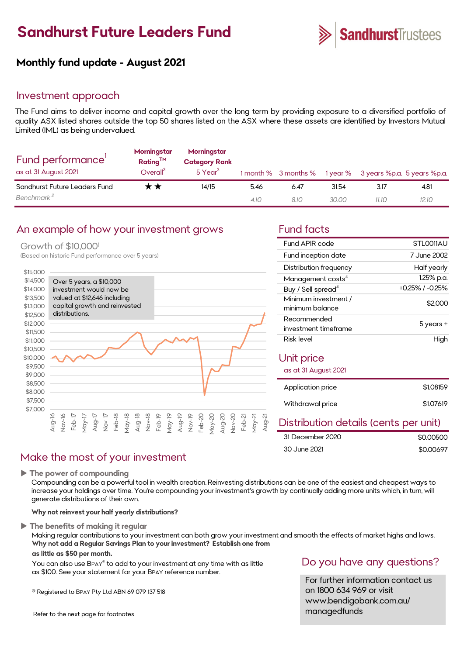# **Sandhurst Future Leaders Fund**



### **Monthly fund update - August 2021**

### Investment approach

The Fund aims to deliver income and capital growth over the long term by providing exposure to a diversified portfolio of quality ASX listed shares outside the top 50 shares listed on the ASX where these assets are identified by Investors Mutual Limited (IML) as being undervalued.

| Fund performance'<br>as at 31 August 2021 | Morningstar<br>Rating <sup>TM</sup><br>Overall <sup>3</sup> | Morningstar<br><b>Category Rank</b><br>5 Year <sup>3</sup> |      |      |       | 1 month % 3 months % 1 year % 3 years %p.a. 5 years %p.a. |       |
|-------------------------------------------|-------------------------------------------------------------|------------------------------------------------------------|------|------|-------|-----------------------------------------------------------|-------|
| Sandhurst Future Leaders Fund             | r ★                                                         | 14/15                                                      | 5.46 | 6.47 | 31.54 | 3.17                                                      | 4.81  |
| Benchmark <sup>2</sup>                    |                                                             |                                                            | 4.10 | 8.10 | 30.00 | 11.10                                                     | 12.10 |

### An example of how your investment grows Fund facts

### Growth of \$10,0001

(Based on historic Fund performance over 5 years)



### Make the most of your investment

**The power of compounding**

Compounding can be a powerful tool in wealth creation. Reinvesting distributions can be one of the easiest and cheapest ways to increase your holdings over time. You're compounding your investment's growth by continually adding more units which, in turn, will generate distributions of their own.

#### **Why not reinvest your half yearly distributions?**

#### **The benefits of making it regular**

Making regular contributions to your investment can both grow your investment and smooth the effects of market highs and lows. **Why not add a Regular Savings Plan to your investment? Establish one from**

#### **as little as \$50 per month.**

You can also use BPAY® to add to your investment at any time with as little as \$100. See your statement for your BPAY reference number.

® Registered to BPAY Pty Ltd ABN 69 079 137 518

Refer to the next page for footnotes

| Fund APIR code                          | STLO011AU       |
|-----------------------------------------|-----------------|
| Fund inception date                     | 7 June 2002     |
| Distribution frequency                  | Half yearly     |
| Management costs <sup>4</sup>           | 1.25% p.a.      |
| Buy / Sell spread <sup>4</sup>          | +0.25% / -0.25% |
| Minimum investment /<br>minimum balance | \$2,000         |
| Recommended                             | 5 years +       |
| investment timeframe                    |                 |
| Risk level                              | High            |
| Unit price                              |                 |
| as at 31 August 2021                    |                 |
|                                         |                 |
| Application price                       | \$1.08159       |
| Withdrawal price                        | \$1.07619       |
|                                         | .               |

### Distribution details (cents per unit)

| 31 December 2020 | \$0,00500 |
|------------------|-----------|
| 30 June 2021     | \$0.00697 |

### Do you have any questions?

For further information contact us on 1800 634 969 or visit www.bendigobank.com.au/ managedfunds